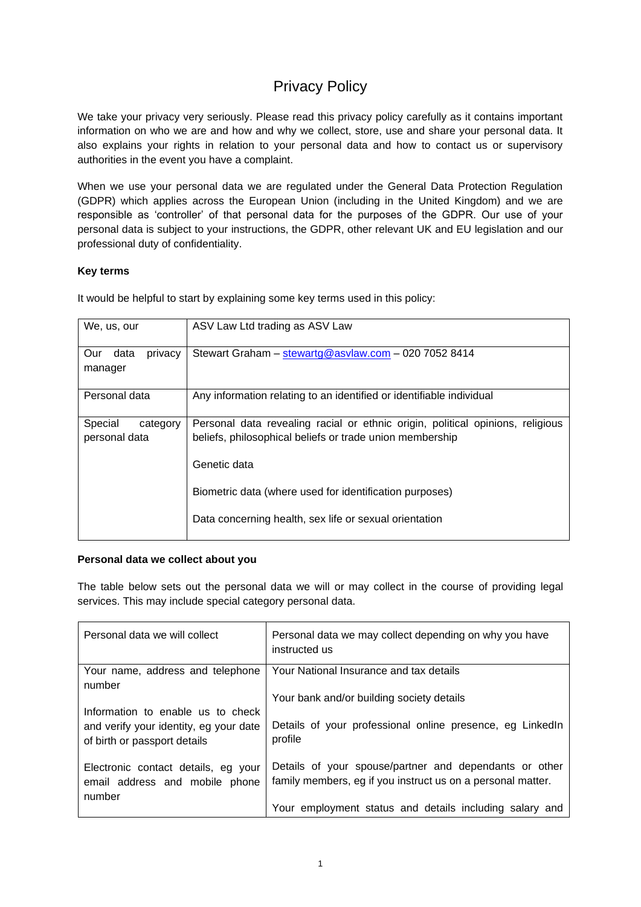# Privacy Policy

We take your privacy very seriously. Please read this privacy policy carefully as it contains important information on who we are and how and why we collect, store, use and share your personal data. It also explains your rights in relation to your personal data and how to contact us or supervisory authorities in the event you have a complaint.

When we use your personal data we are regulated under the General Data Protection Regulation (GDPR) which applies across the European Union (including in the United Kingdom) and we are responsible as 'controller' of that personal data for the purposes of the GDPR. Our use of your personal data is subject to your instructions, the GDPR, other relevant UK and EU legislation and our professional duty of confidentiality.

# **Key terms**

It would be helpful to start by explaining some key terms used in this policy:

| We, us, our                          | ASV Law Ltd trading as ASV Law                                                                                                             |
|--------------------------------------|--------------------------------------------------------------------------------------------------------------------------------------------|
| data<br>privacy<br>Our<br>manager    | Stewart Graham - stewartg@asvlaw.com - 020 7052 8414                                                                                       |
| Personal data                        | Any information relating to an identified or identifiable individual                                                                       |
| Special<br>category<br>personal data | Personal data revealing racial or ethnic origin, political opinions, religious<br>beliefs, philosophical beliefs or trade union membership |
|                                      | Genetic data                                                                                                                               |
|                                      | Biometric data (where used for identification purposes)                                                                                    |
|                                      | Data concerning health, sex life or sexual orientation                                                                                     |

# **Personal data we collect about you**

The table below sets out the personal data we will or may collect in the course of providing legal services. This may include special category personal data.

| Personal data we will collect                                                                               | Personal data we may collect depending on why you have<br>instructed us                                               |
|-------------------------------------------------------------------------------------------------------------|-----------------------------------------------------------------------------------------------------------------------|
| Your name, address and telephone<br>number                                                                  | Your National Insurance and tax details                                                                               |
|                                                                                                             | Your bank and/or building society details                                                                             |
| Information to enable us to check<br>and verify your identity, eg your date<br>of birth or passport details | Details of your professional online presence, eg LinkedIn<br>profile                                                  |
| Electronic contact details, eg your<br>email address and mobile phone<br>number                             | Details of your spouse/partner and dependants or other<br>family members, eg if you instruct us on a personal matter. |
|                                                                                                             | Your employment status and details including salary and                                                               |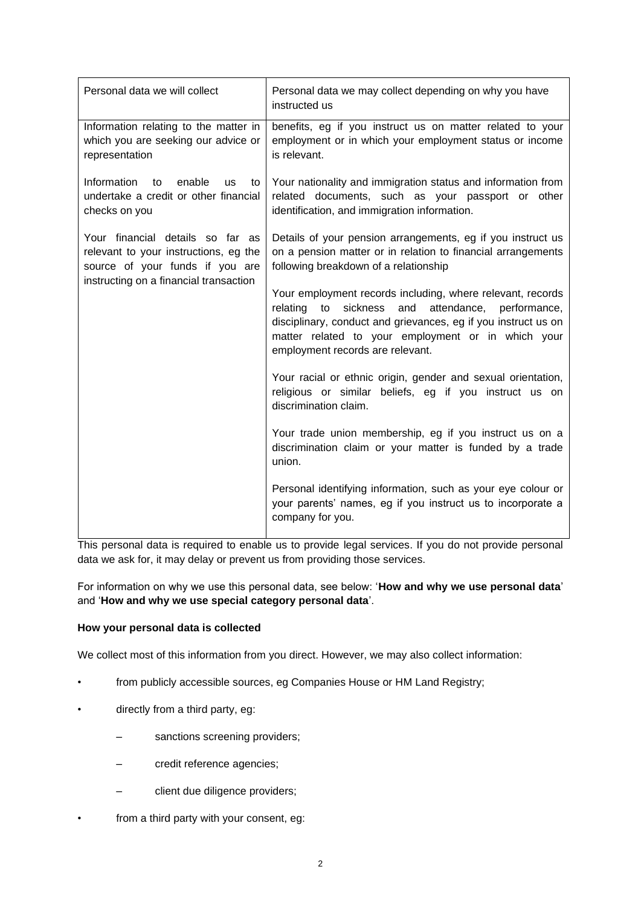| Personal data we will collect                                                                                                                          | Personal data we may collect depending on why you have<br>instructed us                                                                                                                                                                                                                 |
|--------------------------------------------------------------------------------------------------------------------------------------------------------|-----------------------------------------------------------------------------------------------------------------------------------------------------------------------------------------------------------------------------------------------------------------------------------------|
| Information relating to the matter in<br>which you are seeking our advice or<br>representation                                                         | benefits, eg if you instruct us on matter related to your<br>employment or in which your employment status or income<br>is relevant.                                                                                                                                                    |
| Information<br>enable<br>to<br><b>us</b><br>to<br>undertake a credit or other financial<br>checks on you                                               | Your nationality and immigration status and information from<br>related documents, such as your passport or other<br>identification, and immigration information.                                                                                                                       |
| Your financial details so far as<br>relevant to your instructions, eg the<br>source of your funds if you are<br>instructing on a financial transaction | Details of your pension arrangements, eg if you instruct us<br>on a pension matter or in relation to financial arrangements<br>following breakdown of a relationship                                                                                                                    |
|                                                                                                                                                        | Your employment records including, where relevant, records<br>to<br>sickness<br>and<br>attendance, performance,<br>relating<br>disciplinary, conduct and grievances, eg if you instruct us on<br>matter related to your employment or in which your<br>employment records are relevant. |
|                                                                                                                                                        | Your racial or ethnic origin, gender and sexual orientation,<br>religious or similar beliefs, eg if you instruct us on<br>discrimination claim.                                                                                                                                         |
|                                                                                                                                                        | Your trade union membership, eg if you instruct us on a<br>discrimination claim or your matter is funded by a trade<br>union.                                                                                                                                                           |
|                                                                                                                                                        | Personal identifying information, such as your eye colour or<br>your parents' names, eg if you instruct us to incorporate a<br>company for you.                                                                                                                                         |

This personal data is required to enable us to provide legal services. If you do not provide personal data we ask for, it may delay or prevent us from providing those services.

For information on why we use this personal data, see below: '**How and why we use personal data**' and '**How and why we use special category personal data**'.

# **How your personal data is collected**

We collect most of this information from you direct. However, we may also collect information:

- from publicly accessible sources, eg Companies House or HM Land Registry;
- directly from a third party, eg:
	- sanctions screening providers;
	- credit reference agencies;
	- client due diligence providers;
- from a third party with your consent, eg: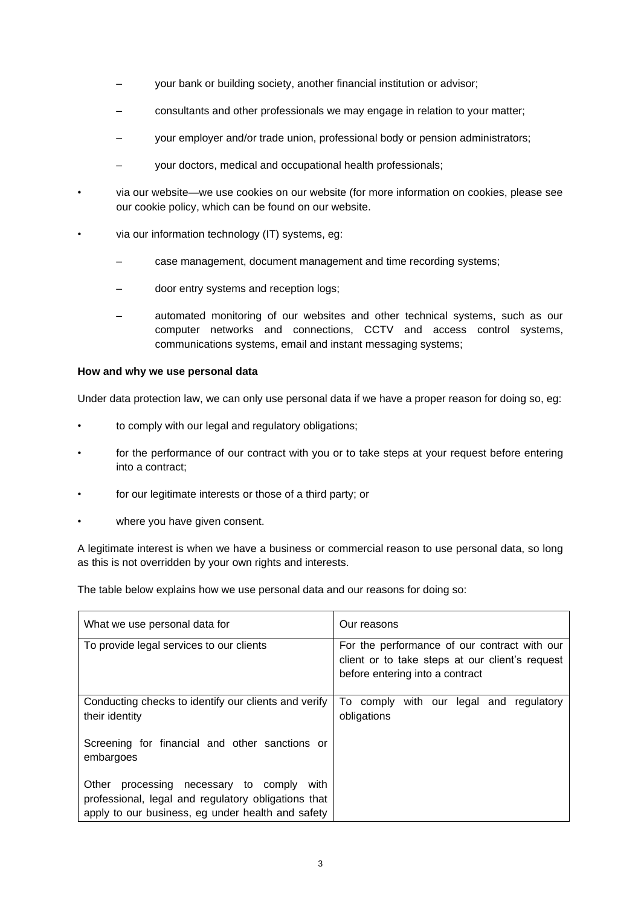- your bank or building society, another financial institution or advisor;
- consultants and other professionals we may engage in relation to your matter;
- your employer and/or trade union, professional body or pension administrators;
- your doctors, medical and occupational health professionals;
- via our website—we use cookies on our website (for more information on cookies, please see our cookie policy, which can be found on our website.
- via our information technology (IT) systems, eg:
	- case management, document management and time recording systems;
	- door entry systems and reception logs;
	- automated monitoring of our websites and other technical systems, such as our computer networks and connections, CCTV and access control systems, communications systems, email and instant messaging systems;

#### **How and why we use personal data**

Under data protection law, we can only use personal data if we have a proper reason for doing so, eg:

- to comply with our legal and regulatory obligations;
- for the performance of our contract with you or to take steps at your request before entering into a contract;
- for our legitimate interests or those of a third party; or
- where you have given consent.

A legitimate interest is when we have a business or commercial reason to use personal data, so long as this is not overridden by your own rights and interests.

The table below explains how we use personal data and our reasons for doing so:

| What we use personal data for                                                                                                                               | Our reasons                                                                                                                        |  |
|-------------------------------------------------------------------------------------------------------------------------------------------------------------|------------------------------------------------------------------------------------------------------------------------------------|--|
| To provide legal services to our clients                                                                                                                    | For the performance of our contract with our<br>client or to take steps at our client's request<br>before entering into a contract |  |
| Conducting checks to identify our clients and verify<br>their identity                                                                                      | To comply with our<br>legal and regulatory<br>obligations                                                                          |  |
| Screening for financial and other sanctions or<br>embargoes                                                                                                 |                                                                                                                                    |  |
| Other<br>processing necessary to comply<br>with<br>professional, legal and regulatory obligations that<br>apply to our business, eg under health and safety |                                                                                                                                    |  |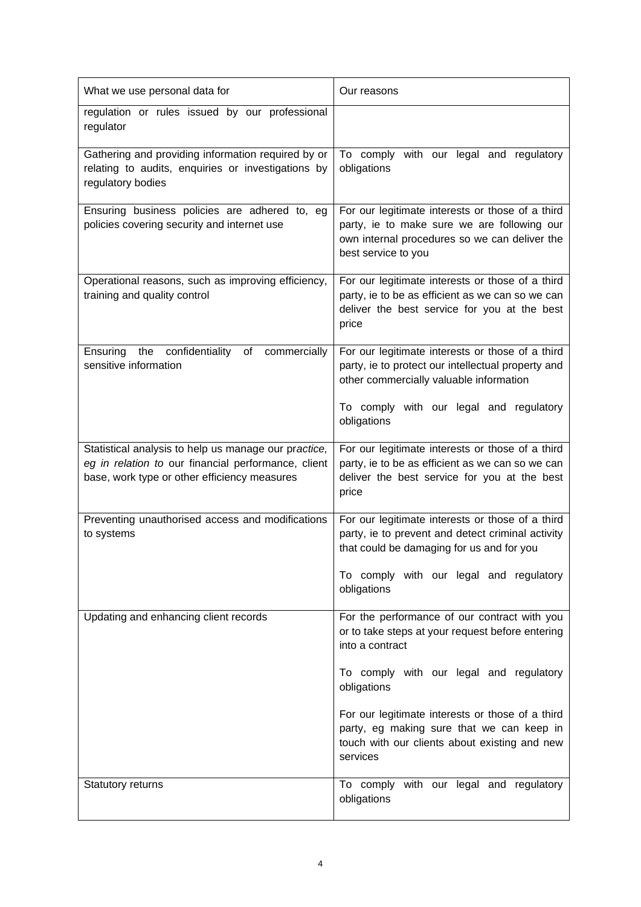| What we use personal data for                                                                                                                               | Our reasons                                                                                                                                                             |
|-------------------------------------------------------------------------------------------------------------------------------------------------------------|-------------------------------------------------------------------------------------------------------------------------------------------------------------------------|
| regulation or rules issued by our professional<br>regulator                                                                                                 |                                                                                                                                                                         |
| Gathering and providing information required by or<br>relating to audits, enquiries or investigations by<br>regulatory bodies                               | To comply with our legal and regulatory<br>obligations                                                                                                                  |
| Ensuring business policies are adhered to, eg<br>policies covering security and internet use                                                                | For our legitimate interests or those of a third<br>party, ie to make sure we are following our<br>own internal procedures so we can deliver the<br>best service to you |
| Operational reasons, such as improving efficiency,<br>training and quality control                                                                          | For our legitimate interests or those of a third<br>party, ie to be as efficient as we can so we can<br>deliver the best service for you at the best<br>price           |
| Ensuring the confidentiality<br>commercially<br>of<br>sensitive information                                                                                 | For our legitimate interests or those of a third<br>party, ie to protect our intellectual property and<br>other commercially valuable information                       |
|                                                                                                                                                             | To comply with our legal and regulatory<br>obligations                                                                                                                  |
| Statistical analysis to help us manage our practice,<br>eg in relation to our financial performance, client<br>base, work type or other efficiency measures | For our legitimate interests or those of a third<br>party, ie to be as efficient as we can so we can<br>deliver the best service for you at the best<br>price           |
| Preventing unauthorised access and modifications<br>to systems                                                                                              | For our legitimate interests or those of a third<br>party, ie to prevent and detect criminal activity<br>that could be damaging for us and for you                      |
|                                                                                                                                                             | To comply with our legal and regulatory<br>obligations                                                                                                                  |
| Updating and enhancing client records                                                                                                                       | For the performance of our contract with you<br>or to take steps at your request before entering<br>into a contract                                                     |
|                                                                                                                                                             | To comply with our legal and regulatory<br>obligations                                                                                                                  |
|                                                                                                                                                             | For our legitimate interests or those of a third<br>party, eg making sure that we can keep in<br>touch with our clients about existing and new<br>services              |
| Statutory returns                                                                                                                                           | To comply with our legal and regulatory<br>obligations                                                                                                                  |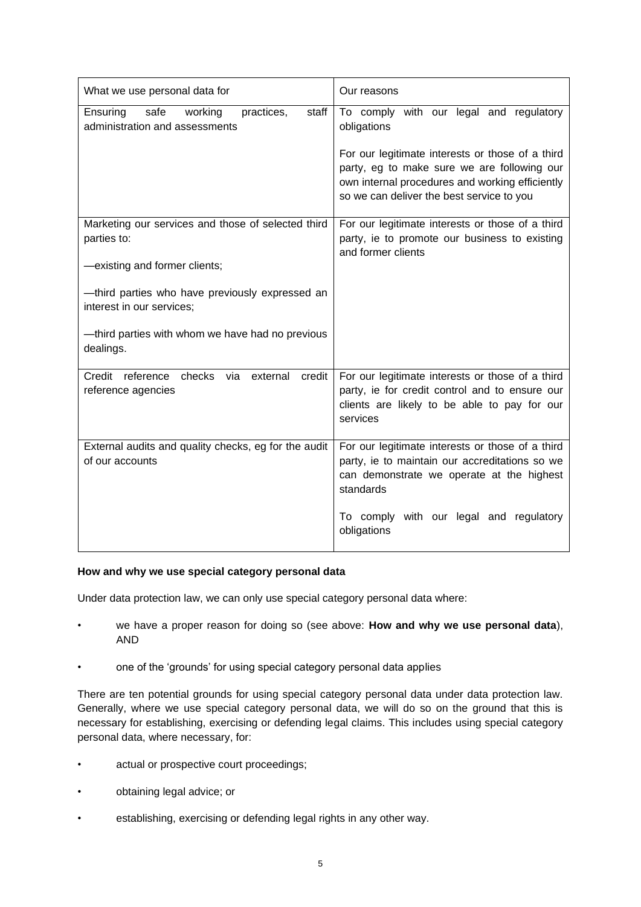| What we use personal data for                                                        | Our reasons                                                                                                                                                                                     |
|--------------------------------------------------------------------------------------|-------------------------------------------------------------------------------------------------------------------------------------------------------------------------------------------------|
| Ensuring<br>safe<br>working<br>practices,<br>staff<br>administration and assessments | To comply with our legal and regulatory<br>obligations                                                                                                                                          |
|                                                                                      | For our legitimate interests or those of a third<br>party, eg to make sure we are following our<br>own internal procedures and working efficiently<br>so we can deliver the best service to you |
| Marketing our services and those of selected third<br>parties to:                    | For our legitimate interests or those of a third<br>party, ie to promote our business to existing<br>and former clients                                                                         |
| -existing and former clients;                                                        |                                                                                                                                                                                                 |
| -third parties who have previously expressed an<br>interest in our services;         |                                                                                                                                                                                                 |
| -third parties with whom we have had no previous<br>dealings.                        |                                                                                                                                                                                                 |
| Credit reference checks via external<br>credit<br>reference agencies                 | For our legitimate interests or those of a third<br>party, ie for credit control and to ensure our<br>clients are likely to be able to pay for our<br>services                                  |
| External audits and quality checks, eg for the audit<br>of our accounts              | For our legitimate interests or those of a third<br>party, ie to maintain our accreditations so we<br>can demonstrate we operate at the highest<br>standards                                    |
|                                                                                      | To comply with our legal and regulatory<br>obligations                                                                                                                                          |

# **How and why we use special category personal data**

Under data protection law, we can only use special category personal data where:

- we have a proper reason for doing so (see above: **How and why we use personal data**), AND
- one of the 'grounds' for using special category personal data applies

There are ten potential grounds for using special category personal data under data protection law. Generally, where we use special category personal data, we will do so on the ground that this is necessary for establishing, exercising or defending legal claims. This includes using special category personal data, where necessary, for:

- actual or prospective court proceedings;
- obtaining legal advice; or
- establishing, exercising or defending legal rights in any other way.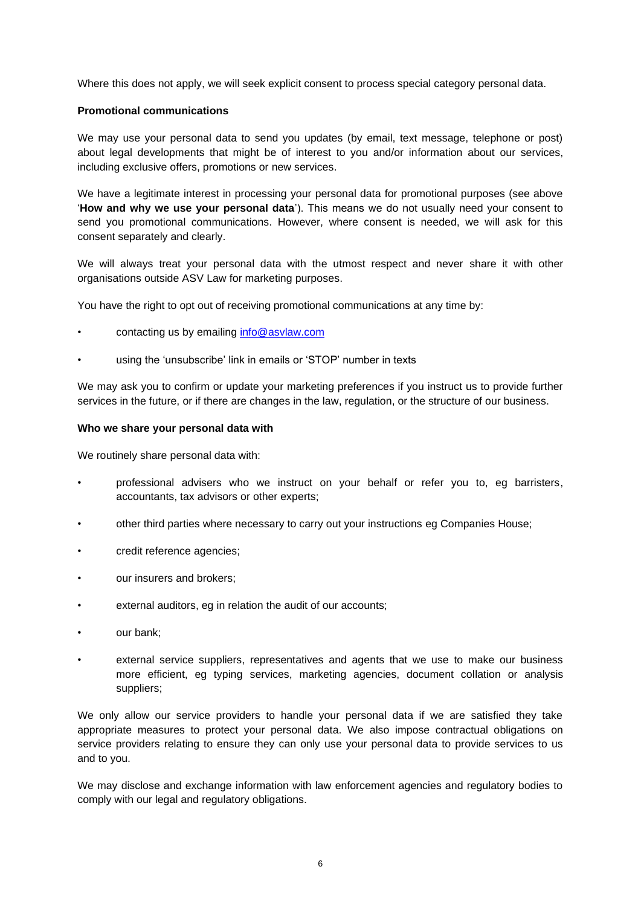Where this does not apply, we will seek explicit consent to process special category personal data.

#### **Promotional communications**

We may use your personal data to send you updates (by email, text message, telephone or post) about legal developments that might be of interest to you and/or information about our services, including exclusive offers, promotions or new services.

We have a legitimate interest in processing your personal data for promotional purposes (see above '**How and why we use your personal data**'). This means we do not usually need your consent to send you promotional communications. However, where consent is needed, we will ask for this consent separately and clearly.

We will always treat your personal data with the utmost respect and never share it with other organisations outside ASV Law for marketing purposes.

You have the right to opt out of receiving promotional communications at any time by:

- contacting us by emailing [info@asvlaw.com](mailto:info@asvlaw.com)
- using the 'unsubscribe' link in emails or 'STOP' number in texts

We may ask you to confirm or update your marketing preferences if you instruct us to provide further services in the future, or if there are changes in the law, regulation, or the structure of our business.

#### **Who we share your personal data with**

We routinely share personal data with:

- professional advisers who we instruct on your behalf or refer you to, eg barristers, accountants, tax advisors or other experts;
- other third parties where necessary to carry out your instructions eg Companies House;
- credit reference agencies;
- our insurers and brokers;
- external auditors, eg in relation the audit of our accounts;
- our bank:
- external service suppliers, representatives and agents that we use to make our business more efficient, eg typing services, marketing agencies, document collation or analysis suppliers;

We only allow our service providers to handle your personal data if we are satisfied they take appropriate measures to protect your personal data. We also impose contractual obligations on service providers relating to ensure they can only use your personal data to provide services to us and to you.

We may disclose and exchange information with law enforcement agencies and regulatory bodies to comply with our legal and regulatory obligations.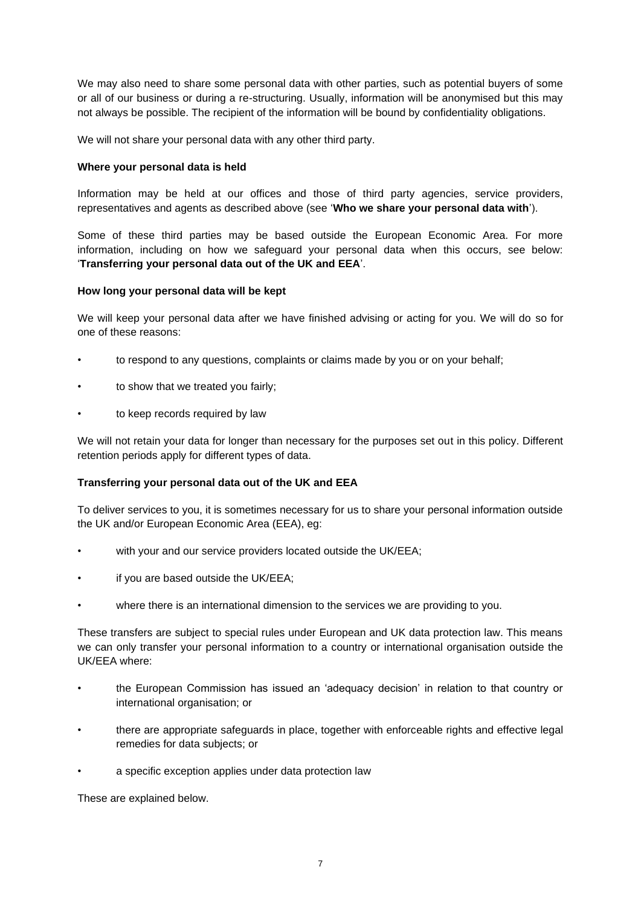We may also need to share some personal data with other parties, such as potential buyers of some or all of our business or during a re-structuring. Usually, information will be anonymised but this may not always be possible. The recipient of the information will be bound by confidentiality obligations.

We will not share your personal data with any other third party.

## **Where your personal data is held**

Information may be held at our offices and those of third party agencies, service providers, representatives and agents as described above (see '**Who we share your personal data with**').

Some of these third parties may be based outside the European Economic Area. For more information, including on how we safeguard your personal data when this occurs, see below: '**Transferring your personal data out of the UK and EEA**'.

#### **How long your personal data will be kept**

We will keep your personal data after we have finished advising or acting for you. We will do so for one of these reasons:

- to respond to any questions, complaints or claims made by you or on your behalf;
- to show that we treated you fairly;
- to keep records required by law

We will not retain your data for longer than necessary for the purposes set out in this policy. Different retention periods apply for different types of data.

# **Transferring your personal data out of the UK and EEA**

To deliver services to you, it is sometimes necessary for us to share your personal information outside the UK and/or European Economic Area (EEA), eg:

- with your and our service providers located outside the UK/EEA;
- if you are based outside the UK/EEA;
- where there is an international dimension to the services we are providing to you.

These transfers are subject to special rules under European and UK data protection law. This means we can only transfer your personal information to a country or international organisation outside the UK/EEA where:

- the European Commission has issued an 'adequacy decision' in relation to that country or international organisation; or
- there are appropriate safeguards in place, together with enforceable rights and effective legal remedies for data subjects; or
- a specific exception applies under data protection law

These are explained below.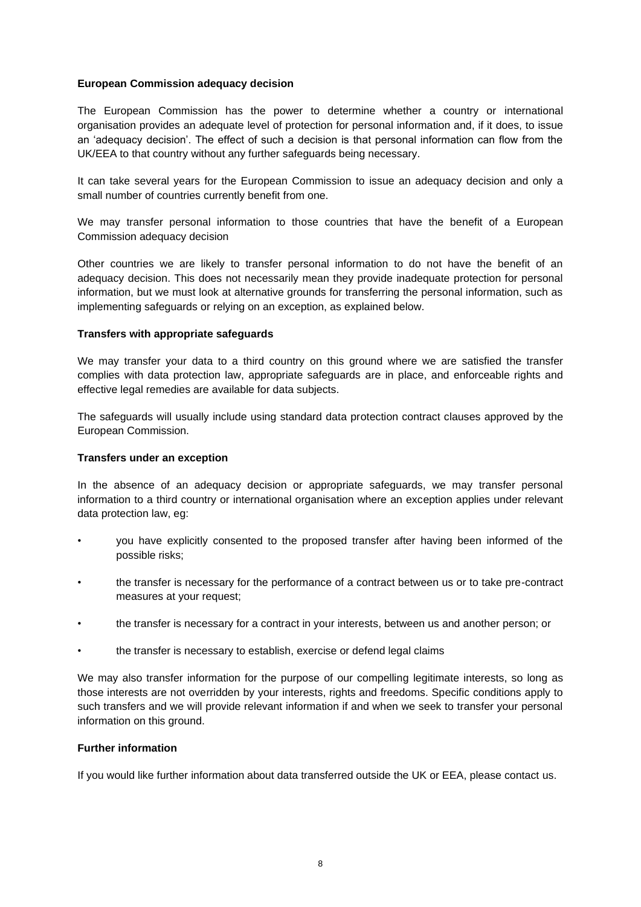## **European Commission adequacy decision**

The European Commission has the power to determine whether a country or international organisation provides an adequate level of protection for personal information and, if it does, to issue an 'adequacy decision'. The effect of such a decision is that personal information can flow from the UK/EEA to that country without any further safeguards being necessary.

It can take several years for the European Commission to issue an adequacy decision and only a small number of countries currently benefit from one.

We may transfer personal information to those countries that have the benefit of a European Commission adequacy decision

Other countries we are likely to transfer personal information to do not have the benefit of an adequacy decision. This does not necessarily mean they provide inadequate protection for personal information, but we must look at alternative grounds for transferring the personal information, such as implementing safeguards or relying on an exception, as explained below.

#### **Transfers with appropriate safeguards**

We may transfer your data to a third country on this ground where we are satisfied the transfer complies with data protection law, appropriate safeguards are in place, and enforceable rights and effective legal remedies are available for data subjects.

The safeguards will usually include using standard data protection contract clauses approved by the European Commission.

#### **Transfers under an exception**

In the absence of an adequacy decision or appropriate safeguards, we may transfer personal information to a third country or international organisation where an exception applies under relevant data protection law, eg:

- you have explicitly consented to the proposed transfer after having been informed of the possible risks;
- the transfer is necessary for the performance of a contract between us or to take pre-contract measures at your request;
- the transfer is necessary for a contract in your interests, between us and another person; or
- the transfer is necessary to establish, exercise or defend legal claims

We may also transfer information for the purpose of our compelling legitimate interests, so long as those interests are not overridden by your interests, rights and freedoms. Specific conditions apply to such transfers and we will provide relevant information if and when we seek to transfer your personal information on this ground.

#### **Further information**

If you would like further information about data transferred outside the UK or EEA, please contact us.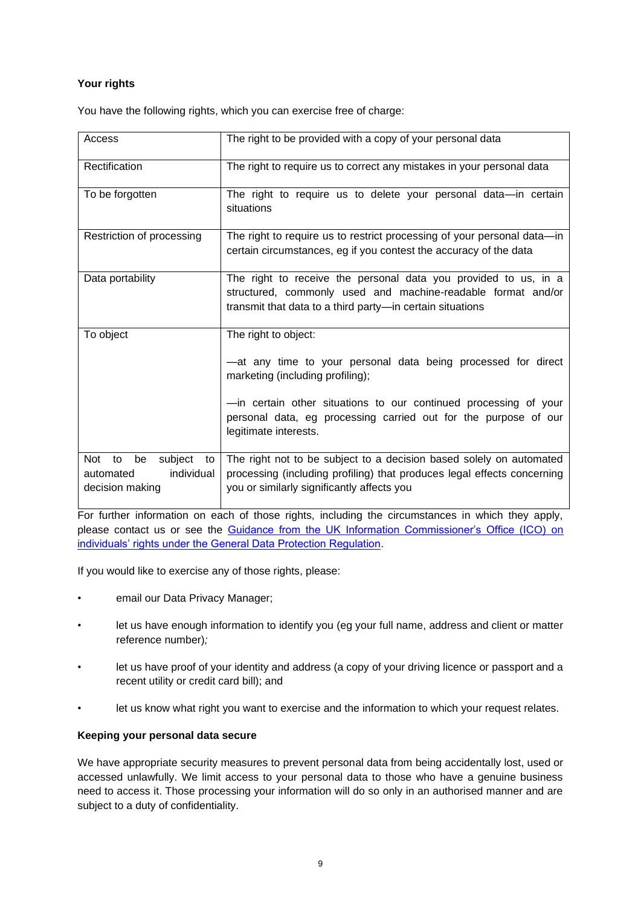# **Your rights**

You have the following rights, which you can exercise free of charge:

| Access                                                                         | The right to be provided with a copy of your personal data                                                                                                                                   |
|--------------------------------------------------------------------------------|----------------------------------------------------------------------------------------------------------------------------------------------------------------------------------------------|
| Rectification                                                                  | The right to require us to correct any mistakes in your personal data                                                                                                                        |
| To be forgotten                                                                | The right to require us to delete your personal data-in certain<br>situations                                                                                                                |
| Restriction of processing                                                      | The right to require us to restrict processing of your personal data-in<br>certain circumstances, eg if you contest the accuracy of the data                                                 |
| Data portability                                                               | The right to receive the personal data you provided to us, in a<br>structured, commonly used and machine-readable format and/or<br>transmit that data to a third party-in certain situations |
| To object                                                                      | The right to object:                                                                                                                                                                         |
|                                                                                | -at any time to your personal data being processed for direct<br>marketing (including profiling);                                                                                            |
|                                                                                | -in certain other situations to our continued processing of your<br>personal data, eg processing carried out for the purpose of our<br>legitimate interests.                                 |
| subject<br>be<br>Not<br>to<br>to<br>individual<br>automated<br>decision making | The right not to be subject to a decision based solely on automated<br>processing (including profiling) that produces legal effects concerning<br>you or similarly significantly affects you |

For further information on each of those rights, including the circumstances in which they apply, please contact us or see the Guidance from the UK Information Commissioner's Office (ICO) on individuals' rights under the General Data Protection Regulation.

If you would like to exercise any of those rights, please:

- email our Data Privacy Manager:
- let us have enough information to identify you (eg your full name, address and client or matter reference number)*;*
- let us have proof of your identity and address (a copy of your driving licence or passport and a recent utility or credit card bill); and
- let us know what right you want to exercise and the information to which your request relates.

# **Keeping your personal data secure**

We have appropriate security measures to prevent personal data from being accidentally lost, used or accessed unlawfully. We limit access to your personal data to those who have a genuine business need to access it. Those processing your information will do so only in an authorised manner and are subject to a duty of confidentiality.